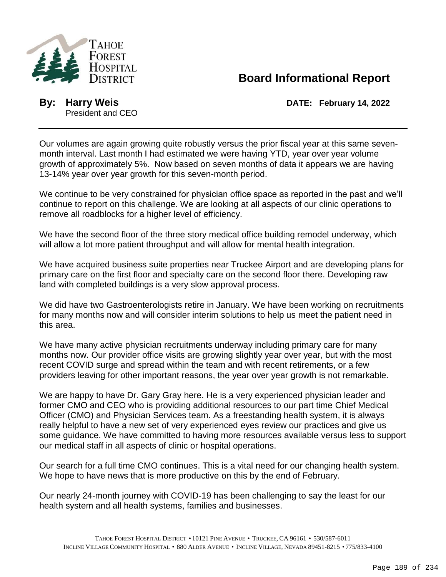

## **Board Informational Report**

President and CEO

**By:** Harry Weis **DATE: February 14, 2022** 

Our volumes are again growing quite robustly versus the prior fiscal year at this same sevenmonth interval. Last month I had estimated we were having YTD, year over year volume growth of approximately 5%. Now based on seven months of data it appears we are having 13-14% year over year growth for this seven-month period.

We continue to be very constrained for physician office space as reported in the past and we'll continue to report on this challenge. We are looking at all aspects of our clinic operations to remove all roadblocks for a higher level of efficiency.

We have the second floor of the three story medical office building remodel underway, which will allow a lot more patient throughput and will allow for mental health integration.

We have acquired business suite properties near Truckee Airport and are developing plans for primary care on the first floor and specialty care on the second floor there. Developing raw land with completed buildings is a very slow approval process.

We did have two Gastroenterologists retire in January. We have been working on recruitments for many months now and will consider interim solutions to help us meet the patient need in this area.

We have many active physician recruitments underway including primary care for many months now. Our provider office visits are growing slightly year over year, but with the most recent COVID surge and spread within the team and with recent retirements, or a few providers leaving for other important reasons, the year over year growth is not remarkable.

We are happy to have Dr. Gary Gray here. He is a very experienced physician leader and former CMO and CEO who is providing additional resources to our part time Chief Medical Officer (CMO) and Physician Services team. As a freestanding health system, it is always really helpful to have a new set of very experienced eyes review our practices and give us some guidance. We have committed to having more resources available versus less to support our medical staff in all aspects of clinic or hospital operations.

Our search for a full time CMO continues. This is a vital need for our changing health system. We hope to have news that is more productive on this by the end of February.

Our nearly 24-month journey with COVID-19 has been challenging to say the least for our health system and all health systems, families and businesses.